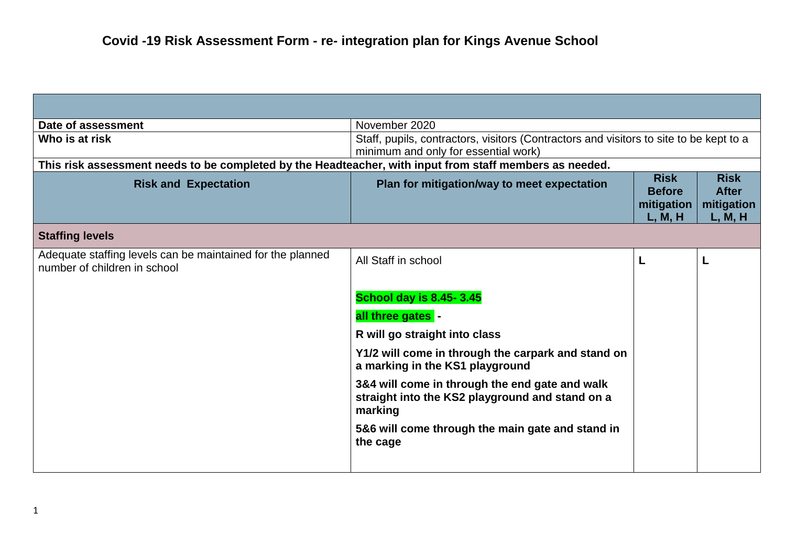| Date of assessment                                                                                      | November 2020                                                                                                                  |                                                       |                                                      |
|---------------------------------------------------------------------------------------------------------|--------------------------------------------------------------------------------------------------------------------------------|-------------------------------------------------------|------------------------------------------------------|
| Who is at risk                                                                                          | Staff, pupils, contractors, visitors (Contractors and visitors to site to be kept to a<br>minimum and only for essential work) |                                                       |                                                      |
| This risk assessment needs to be completed by the Headteacher, with input from staff members as needed. |                                                                                                                                |                                                       |                                                      |
| <b>Risk and Expectation</b>                                                                             | Plan for mitigation/way to meet expectation                                                                                    | <b>Risk</b><br><b>Before</b><br>mitigation<br>L, M, H | <b>Risk</b><br><b>After</b><br>mitigation<br>L, M, H |
| <b>Staffing levels</b>                                                                                  |                                                                                                                                |                                                       |                                                      |
| Adequate staffing levels can be maintained for the planned<br>number of children in school              | All Staff in school                                                                                                            | L                                                     | L                                                    |
|                                                                                                         | <b>School day is 8.45-3.45</b>                                                                                                 |                                                       |                                                      |
|                                                                                                         | all three gates -                                                                                                              |                                                       |                                                      |
|                                                                                                         | R will go straight into class                                                                                                  |                                                       |                                                      |
|                                                                                                         | Y1/2 will come in through the carpark and stand on<br>a marking in the KS1 playground                                          |                                                       |                                                      |
|                                                                                                         | 3&4 will come in through the end gate and walk<br>straight into the KS2 playground and stand on a<br>marking                   |                                                       |                                                      |
|                                                                                                         | 5&6 will come through the main gate and stand in<br>the cage                                                                   |                                                       |                                                      |
|                                                                                                         |                                                                                                                                |                                                       |                                                      |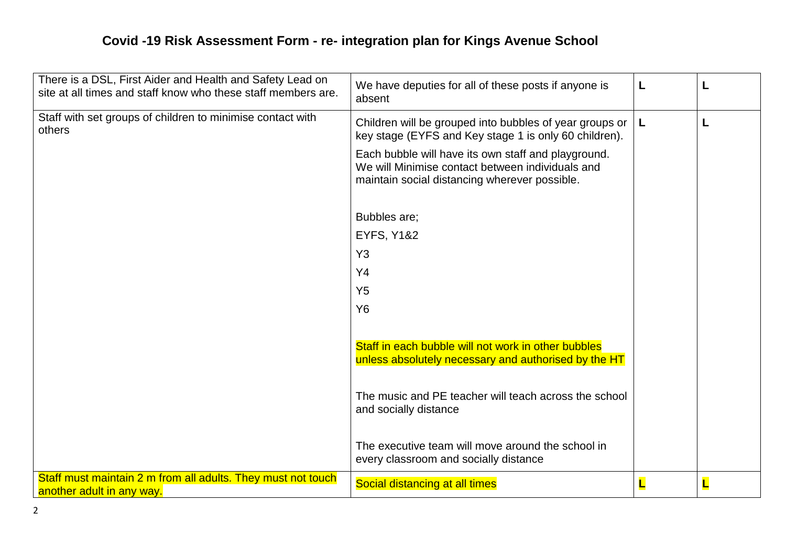| There is a DSL, First Aider and Health and Safety Lead on<br>site at all times and staff know who these staff members are. | We have deputies for all of these posts if anyone is<br>absent                                                                                           | L |   |
|----------------------------------------------------------------------------------------------------------------------------|----------------------------------------------------------------------------------------------------------------------------------------------------------|---|---|
| Staff with set groups of children to minimise contact with<br>others                                                       | Children will be grouped into bubbles of year groups or<br>key stage (EYFS and Key stage 1 is only 60 children).                                         | L | L |
|                                                                                                                            | Each bubble will have its own staff and playground.<br>We will Minimise contact between individuals and<br>maintain social distancing wherever possible. |   |   |
|                                                                                                                            | Bubbles are;                                                                                                                                             |   |   |
|                                                                                                                            | <b>EYFS, Y1&amp;2</b>                                                                                                                                    |   |   |
|                                                                                                                            | Y <sub>3</sub>                                                                                                                                           |   |   |
|                                                                                                                            | Y4                                                                                                                                                       |   |   |
|                                                                                                                            | Y <sub>5</sub>                                                                                                                                           |   |   |
|                                                                                                                            | <b>Y6</b>                                                                                                                                                |   |   |
|                                                                                                                            | Staff in each bubble will not work in other bubbles<br>unless absolutely necessary and authorised by the HT                                              |   |   |
|                                                                                                                            | The music and PE teacher will teach across the school<br>and socially distance                                                                           |   |   |
|                                                                                                                            | The executive team will move around the school in<br>every classroom and socially distance                                                               |   |   |
| Staff must maintain 2 m from all adults. They must not touch<br>another adult in any way.                                  | Social distancing at all times                                                                                                                           |   |   |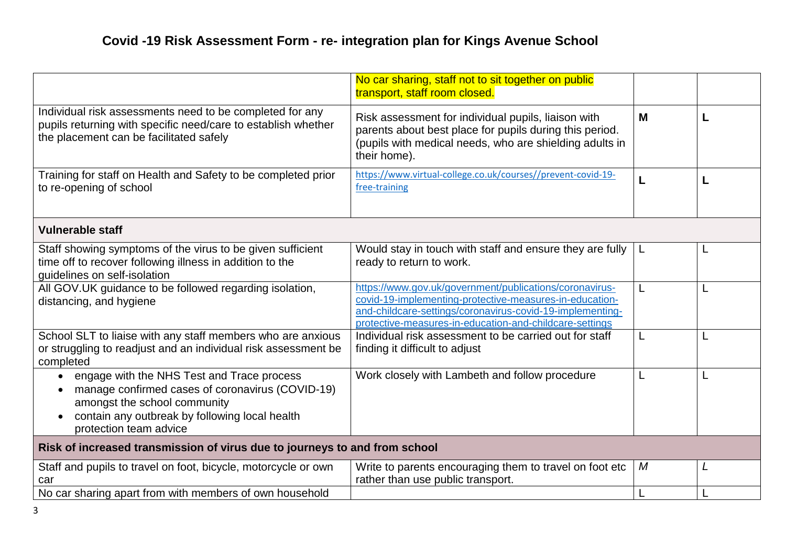|                                                                                                                                                                                                            | No car sharing, staff not to sit together on public<br>transport, staff room closed.                                                                                                                                                       |   |  |
|------------------------------------------------------------------------------------------------------------------------------------------------------------------------------------------------------------|--------------------------------------------------------------------------------------------------------------------------------------------------------------------------------------------------------------------------------------------|---|--|
| Individual risk assessments need to be completed for any<br>pupils returning with specific need/care to establish whether<br>the placement can be facilitated safely                                       | Risk assessment for individual pupils, liaison with<br>parents about best place for pupils during this period.<br>(pupils with medical needs, who are shielding adults in<br>their home).                                                  | M |  |
| Training for staff on Health and Safety to be completed prior<br>to re-opening of school                                                                                                                   | https://www.virtual-college.co.uk/courses//prevent-covid-19-<br>free-training                                                                                                                                                              | L |  |
| <b>Vulnerable staff</b>                                                                                                                                                                                    |                                                                                                                                                                                                                                            |   |  |
| Staff showing symptoms of the virus to be given sufficient<br>time off to recover following illness in addition to the<br>quidelines on self-isolation                                                     | Would stay in touch with staff and ensure they are fully<br>ready to return to work.                                                                                                                                                       | L |  |
| All GOV.UK guidance to be followed regarding isolation,<br>distancing, and hygiene                                                                                                                         | https://www.gov.uk/government/publications/coronavirus-<br>covid-19-implementing-protective-measures-in-education-<br>and-childcare-settings/coronavirus-covid-19-implementing-<br>protective-measures-in-education-and-childcare-settings | L |  |
| School SLT to liaise with any staff members who are anxious<br>or struggling to readjust and an individual risk assessment be<br>completed                                                                 | Individual risk assessment to be carried out for staff<br>finding it difficult to adjust                                                                                                                                                   | L |  |
| engage with the NHS Test and Trace process<br>manage confirmed cases of coronavirus (COVID-19)<br>amongst the school community<br>contain any outbreak by following local health<br>protection team advice | Work closely with Lambeth and follow procedure                                                                                                                                                                                             | L |  |
| Risk of increased transmission of virus due to journeys to and from school                                                                                                                                 |                                                                                                                                                                                                                                            |   |  |
| Staff and pupils to travel on foot, bicycle, motorcycle or own<br>car                                                                                                                                      | Write to parents encouraging them to travel on foot etc<br>rather than use public transport.                                                                                                                                               | M |  |
| No car sharing apart from with members of own household                                                                                                                                                    |                                                                                                                                                                                                                                            | L |  |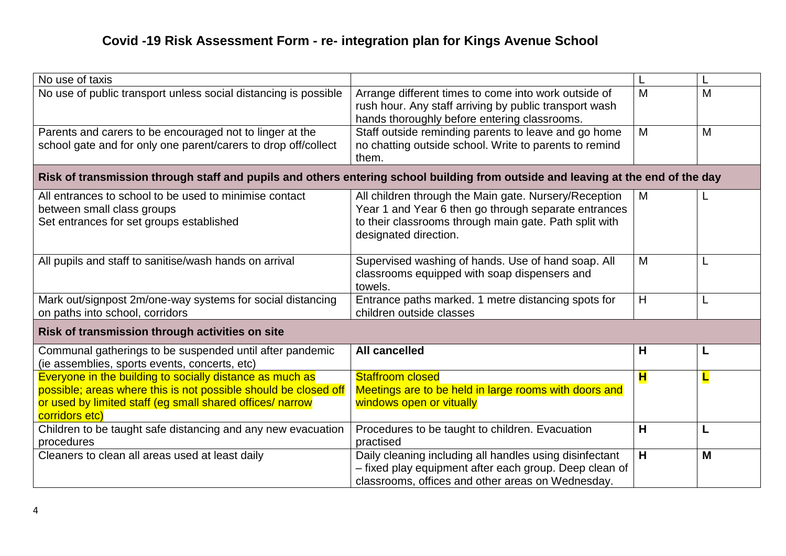| No use of taxis                                                                                                                  |                                                                 |                         |   |
|----------------------------------------------------------------------------------------------------------------------------------|-----------------------------------------------------------------|-------------------------|---|
| No use of public transport unless social distancing is possible                                                                  | Arrange different times to come into work outside of            | M                       | M |
|                                                                                                                                  | rush hour. Any staff arriving by public transport wash          |                         |   |
|                                                                                                                                  | hands thoroughly before entering classrooms.                    |                         |   |
| Parents and carers to be encouraged not to linger at the                                                                         | Staff outside reminding parents to leave and go home            | M                       | M |
| school gate and for only one parent/carers to drop off/collect                                                                   | no chatting outside school. Write to parents to remind<br>them. |                         |   |
|                                                                                                                                  |                                                                 |                         |   |
| Risk of transmission through staff and pupils and others entering school building from outside and leaving at the end of the day |                                                                 |                         |   |
| All entrances to school to be used to minimise contact                                                                           | All children through the Main gate. Nursery/Reception           | M                       |   |
| between small class groups                                                                                                       | Year 1 and Year 6 then go through separate entrances            |                         |   |
| Set entrances for set groups established                                                                                         | to their classrooms through main gate. Path split with          |                         |   |
|                                                                                                                                  | designated direction.                                           |                         |   |
|                                                                                                                                  |                                                                 |                         |   |
| All pupils and staff to sanitise/wash hands on arrival                                                                           | Supervised washing of hands. Use of hand soap. All              | M                       |   |
|                                                                                                                                  | classrooms equipped with soap dispensers and<br>towels.         |                         |   |
| Mark out/signpost 2m/one-way systems for social distancing                                                                       | Entrance paths marked. 1 metre distancing spots for             | H                       | L |
| on paths into school, corridors                                                                                                  | children outside classes                                        |                         |   |
|                                                                                                                                  |                                                                 |                         |   |
| Risk of transmission through activities on site                                                                                  |                                                                 |                         |   |
| Communal gatherings to be suspended until after pandemic                                                                         | <b>All cancelled</b>                                            | H                       | L |
| (ie assemblies, sports events, concerts, etc)                                                                                    |                                                                 |                         |   |
| Everyone in the building to socially distance as much as                                                                         | <b>Staffroom closed</b>                                         | $\mathbf{H}$            | L |
| possible; areas where this is not possible should be closed off                                                                  | Meetings are to be held in large rooms with doors and           |                         |   |
| or used by limited staff (eg small shared offices/ narrow                                                                        | windows open or vitually                                        |                         |   |
| corridors etc)<br>Children to be taught safe distancing and any new evacuation                                                   | Procedures to be taught to children. Evacuation                 | H                       | L |
| procedures                                                                                                                       | practised                                                       |                         |   |
| Cleaners to clean all areas used at least daily                                                                                  | Daily cleaning including all handles using disinfectant         | $\overline{\mathsf{H}}$ | M |
|                                                                                                                                  | - fixed play equipment after each group. Deep clean of          |                         |   |
|                                                                                                                                  | classrooms, offices and other areas on Wednesday.               |                         |   |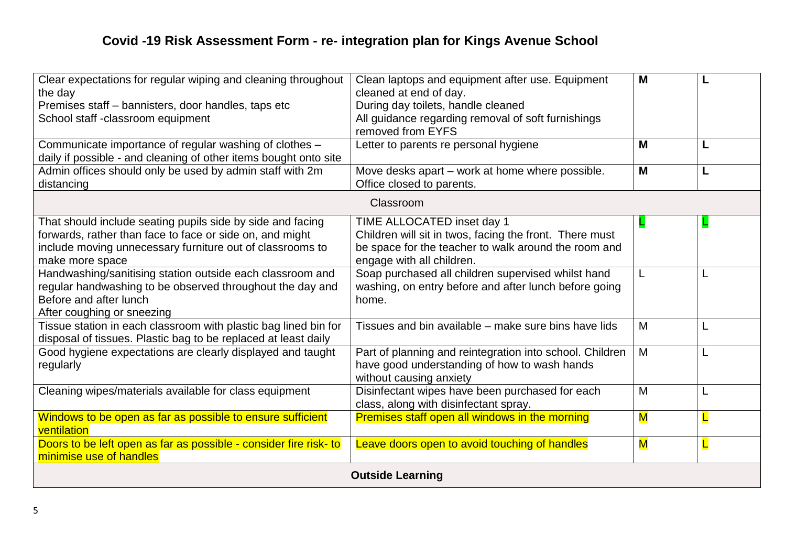| Clear expectations for regular wiping and cleaning throughout<br>the day                                                                                                                               | Clean laptops and equipment after use. Equipment<br>cleaned at end of day.                                                                                                 | M                       |   |
|--------------------------------------------------------------------------------------------------------------------------------------------------------------------------------------------------------|----------------------------------------------------------------------------------------------------------------------------------------------------------------------------|-------------------------|---|
| Premises staff - bannisters, door handles, taps etc<br>School staff -classroom equipment                                                                                                               | During day toilets, handle cleaned<br>All guidance regarding removal of soft furnishings<br>removed from EYFS                                                              |                         |   |
| Communicate importance of regular washing of clothes -<br>daily if possible - and cleaning of other items bought onto site                                                                             | Letter to parents re personal hygiene                                                                                                                                      | M                       |   |
| Admin offices should only be used by admin staff with 2m<br>distancing                                                                                                                                 | Move desks apart – work at home where possible.<br>Office closed to parents.                                                                                               | M                       |   |
|                                                                                                                                                                                                        | Classroom                                                                                                                                                                  |                         |   |
| That should include seating pupils side by side and facing<br>forwards, rather than face to face or side on, and might<br>include moving unnecessary furniture out of classrooms to<br>make more space | TIME ALLOCATED inset day 1<br>Children will sit in twos, facing the front. There must<br>be space for the teacher to walk around the room and<br>engage with all children. | L                       |   |
| Handwashing/sanitising station outside each classroom and<br>regular handwashing to be observed throughout the day and<br>Before and after lunch<br>After coughing or sneezing                         | Soap purchased all children supervised whilst hand<br>washing, on entry before and after lunch before going<br>home.                                                       | L                       |   |
| Tissue station in each classroom with plastic bag lined bin for<br>disposal of tissues. Plastic bag to be replaced at least daily                                                                      | Tissues and bin available – make sure bins have lids                                                                                                                       | M                       |   |
| Good hygiene expectations are clearly displayed and taught<br>regularly                                                                                                                                | Part of planning and reintegration into school. Children<br>have good understanding of how to wash hands<br>without causing anxiety                                        | M                       |   |
| Cleaning wipes/materials available for class equipment                                                                                                                                                 | Disinfectant wipes have been purchased for each<br>class, along with disinfectant spray.                                                                                   | M                       | L |
| Windows to be open as far as possible to ensure sufficient<br>ventilation                                                                                                                              | Premises staff open all windows in the morning                                                                                                                             | $\overline{\mathsf{M}}$ |   |
| Doors to be left open as far as possible - consider fire risk- to<br>minimise use of handles                                                                                                           | Leave doors open to avoid touching of handles                                                                                                                              | $\overline{\mathsf{M}}$ |   |
| <b>Outside Learning</b>                                                                                                                                                                                |                                                                                                                                                                            |                         |   |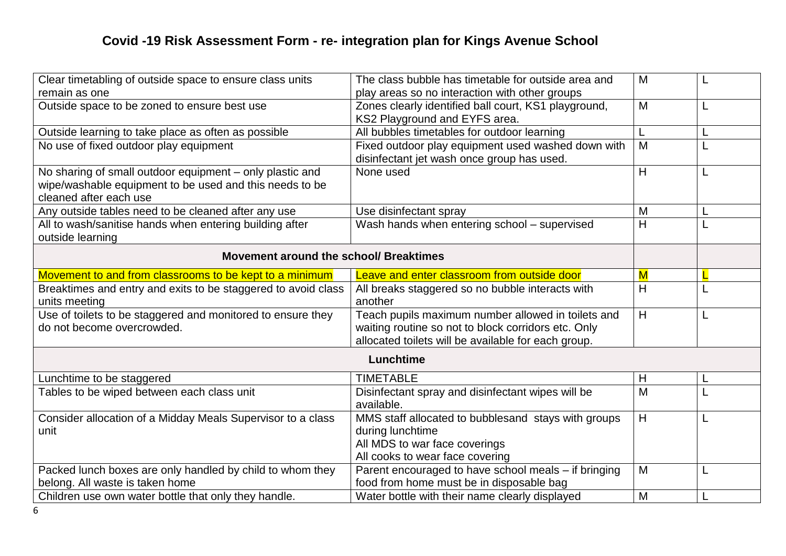| Clear timetabling of outside space to ensure class units      | The class bubble has timetable for outside area and  | M                       |  |
|---------------------------------------------------------------|------------------------------------------------------|-------------------------|--|
| remain as one                                                 | play areas so no interaction with other groups       |                         |  |
| Outside space to be zoned to ensure best use                  | Zones clearly identified ball court, KS1 playground, | M                       |  |
|                                                               | KS2 Playground and EYFS area.                        |                         |  |
| Outside learning to take place as often as possible           | All bubbles timetables for outdoor learning          | L                       |  |
| No use of fixed outdoor play equipment                        | Fixed outdoor play equipment used washed down with   | M                       |  |
|                                                               | disinfectant jet wash once group has used.           |                         |  |
| No sharing of small outdoor equipment - only plastic and      | None used                                            | H                       |  |
| wipe/washable equipment to be used and this needs to be       |                                                      |                         |  |
| cleaned after each use                                        |                                                      |                         |  |
| Any outside tables need to be cleaned after any use           | Use disinfectant spray                               | M                       |  |
| All to wash/sanitise hands when entering building after       | Wash hands when entering school - supervised         | H                       |  |
| outside learning                                              |                                                      |                         |  |
|                                                               |                                                      |                         |  |
| Movement around the school/ Breaktimes                        |                                                      |                         |  |
| Movement to and from classrooms to be kept to a minimum       | Leave and enter classroom from outside door          | $\overline{\mathsf{M}}$ |  |
| Breaktimes and entry and exits to be staggered to avoid class | All breaks staggered so no bubble interacts with     | H                       |  |
| units meeting                                                 | another                                              |                         |  |
| Use of toilets to be staggered and monitored to ensure they   | Teach pupils maximum number allowed in toilets and   | H                       |  |
| do not become overcrowded.                                    | waiting routine so not to block corridors etc. Only  |                         |  |
|                                                               | allocated toilets will be available for each group.  |                         |  |
|                                                               | Lunchtime                                            |                         |  |
|                                                               |                                                      |                         |  |
| Lunchtime to be staggered                                     | <b>TIMETABLE</b>                                     | H                       |  |
| Tables to be wiped between each class unit                    | Disinfectant spray and disinfectant wipes will be    | M                       |  |
|                                                               | available.                                           |                         |  |
| Consider allocation of a Midday Meals Supervisor to a class   | MMS staff allocated to bubblesand stays with groups  | H                       |  |
| unit                                                          | during lunchtime                                     |                         |  |
|                                                               | All MDS to war face coverings                        |                         |  |
|                                                               | All cooks to wear face covering                      |                         |  |
| Packed lunch boxes are only handled by child to whom they     | Parent encouraged to have school meals - if bringing | M                       |  |
| belong. All waste is taken home                               | food from home must be in disposable bag             |                         |  |
| Children use own water bottle that only they handle.          | Water bottle with their name clearly displayed       | M                       |  |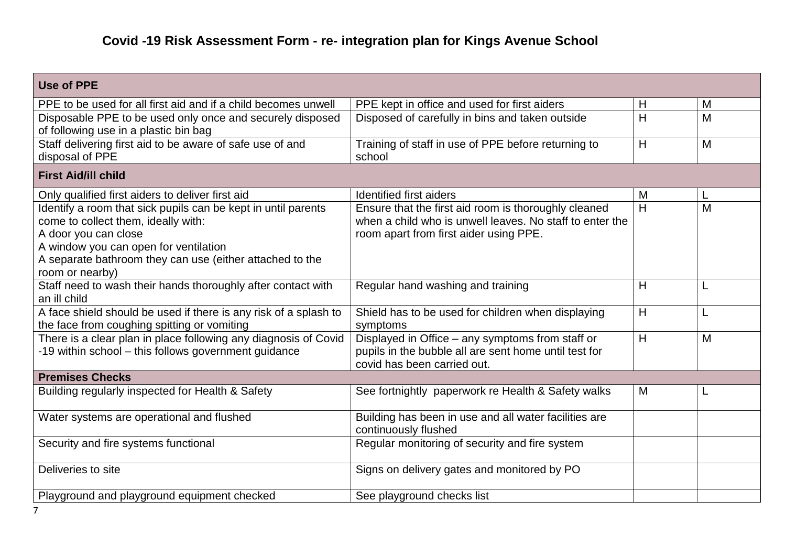| Use of PPE                                                                                                                                                                                                                                           |                                                                                                                                                            |   |   |
|------------------------------------------------------------------------------------------------------------------------------------------------------------------------------------------------------------------------------------------------------|------------------------------------------------------------------------------------------------------------------------------------------------------------|---|---|
| PPE to be used for all first aid and if a child becomes unwell                                                                                                                                                                                       | PPE kept in office and used for first aiders                                                                                                               | H | M |
| Disposable PPE to be used only once and securely disposed<br>of following use in a plastic bin bag                                                                                                                                                   | Disposed of carefully in bins and taken outside                                                                                                            | H | M |
| Staff delivering first aid to be aware of safe use of and<br>disposal of PPE                                                                                                                                                                         | Training of staff in use of PPE before returning to<br>school                                                                                              | H | M |
| <b>First Aid/ill child</b>                                                                                                                                                                                                                           |                                                                                                                                                            |   |   |
| Only qualified first aiders to deliver first aid                                                                                                                                                                                                     | <b>Identified first aiders</b>                                                                                                                             | M |   |
| Identify a room that sick pupils can be kept in until parents<br>come to collect them, ideally with:<br>A door you can close<br>A window you can open for ventilation<br>A separate bathroom they can use (either attached to the<br>room or nearby) | Ensure that the first aid room is thoroughly cleaned<br>when a child who is unwell leaves. No staff to enter the<br>room apart from first aider using PPE. | H | M |
| Staff need to wash their hands thoroughly after contact with<br>an ill child                                                                                                                                                                         | Regular hand washing and training                                                                                                                          | H |   |
| A face shield should be used if there is any risk of a splash to<br>the face from coughing spitting or vomiting                                                                                                                                      | Shield has to be used for children when displaying<br>symptoms                                                                                             | H | L |
| There is a clear plan in place following any diagnosis of Covid<br>-19 within school - this follows government guidance                                                                                                                              | Displayed in Office - any symptoms from staff or<br>pupils in the bubble all are sent home until test for<br>covid has been carried out.                   | Η | M |
| <b>Premises Checks</b>                                                                                                                                                                                                                               |                                                                                                                                                            |   |   |
| Building regularly inspected for Health & Safety                                                                                                                                                                                                     | See fortnightly paperwork re Health & Safety walks                                                                                                         | M |   |
| Water systems are operational and flushed                                                                                                                                                                                                            | Building has been in use and all water facilities are<br>continuously flushed                                                                              |   |   |
| Security and fire systems functional                                                                                                                                                                                                                 | Regular monitoring of security and fire system                                                                                                             |   |   |
| Deliveries to site                                                                                                                                                                                                                                   | Signs on delivery gates and monitored by PO                                                                                                                |   |   |
| Playground and playground equipment checked                                                                                                                                                                                                          | See playground checks list                                                                                                                                 |   |   |